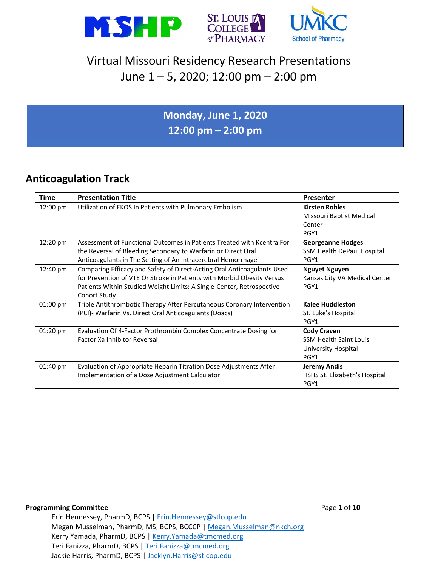





### **Monday, June 1, 2020 12:00 pm – 2:00 pm**

### **Anticoagulation Track**

| Time               | <b>Presentation Title</b>                                                                                                                                                                                                                  | <b>Presenter</b>                                                                   |
|--------------------|--------------------------------------------------------------------------------------------------------------------------------------------------------------------------------------------------------------------------------------------|------------------------------------------------------------------------------------|
| 12:00 pm           | Utilization of EKOS In Patients with Pulmonary Embolism                                                                                                                                                                                    | <b>Kirsten Robles</b><br>Missouri Baptist Medical<br>Center<br>PGY1                |
| 12:20 pm           | Assessment of Functional Outcomes in Patients Treated with Kcentra For<br>the Reversal of Bleeding Secondary to Warfarin or Direct Oral<br>Anticoagulants in The Setting of An Intracerebral Hemorrhage                                    | Georgeanne Hodges<br>SSM Health DePaul Hospital<br>PGY1                            |
| 12:40 pm           | Comparing Efficacy and Safety of Direct-Acting Oral Anticoagulants Used<br>for Prevention of VTE Or Stroke in Patients with Morbid Obesity Versus<br>Patients Within Studied Weight Limits: A Single-Center, Retrospective<br>Cohort Study | <b>Nguyet Nguyen</b><br>Kansas City VA Medical Center<br>PGY1                      |
| $01:00 \text{ pm}$ | Triple Antithrombotic Therapy After Percutaneous Coronary Intervention<br>(PCI)- Warfarin Vs. Direct Oral Anticoagulants (Doacs)                                                                                                           | <b>Kalee Huddleston</b><br>St. Luke's Hospital<br>PGY1                             |
| $01:20$ pm         | Evaluation Of 4-Factor Prothrombin Complex Concentrate Dosing for<br><b>Factor Xa Inhibitor Reversal</b>                                                                                                                                   | <b>Cody Craven</b><br><b>SSM Health Saint Louis</b><br>University Hospital<br>PGY1 |
| 01:40 pm           | Evaluation of Appropriate Heparin Titration Dose Adjustments After<br>Implementation of a Dose Adjustment Calculator                                                                                                                       | <b>Jeremy Andis</b><br>HSHS St. Elizabeth's Hospital<br>PGY1                       |

#### **Programming Committee Page 1 of 10**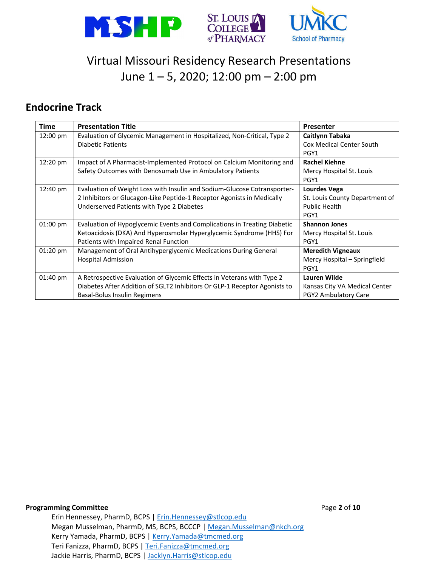

#### **Endocrine Track**

| <b>Time</b>        | <b>Presentation Title</b>                                                 | Presenter                       |
|--------------------|---------------------------------------------------------------------------|---------------------------------|
| 12:00 pm           | Evaluation of Glycemic Management in Hospitalized, Non-Critical, Type 2   | Caitlynn Tabaka                 |
|                    | <b>Diabetic Patients</b>                                                  | <b>Cox Medical Center South</b> |
|                    |                                                                           | PGY1                            |
| 12:20 pm           | Impact of A Pharmacist-Implemented Protocol on Calcium Monitoring and     | <b>Rachel Kiehne</b>            |
|                    | Safety Outcomes with Denosumab Use in Ambulatory Patients                 | Mercy Hospital St. Louis        |
|                    |                                                                           | PGY1                            |
| 12:40 pm           | Evaluation of Weight Loss with Insulin and Sodium-Glucose Cotransporter-  | <b>Lourdes Vega</b>             |
|                    | 2 Inhibitors or Glucagon-Like Peptide-1 Receptor Agonists in Medically    | St. Louis County Department of  |
|                    | Underserved Patients with Type 2 Diabetes                                 | <b>Public Health</b>            |
|                    |                                                                           | PGY1                            |
| $01:00 \text{ pm}$ | Evaluation of Hypoglycemic Events and Complications in Treating Diabetic  | <b>Shannon Jones</b>            |
|                    | Ketoacidosis (DKA) And Hyperosmolar Hyperglycemic Syndrome (HHS) For      | Mercy Hospital St. Louis        |
|                    | Patients with Impaired Renal Function                                     | PGY1                            |
| 01:20 pm           | Management of Oral Antihyperglycemic Medications During General           | <b>Meredith Vigneaux</b>        |
|                    | <b>Hospital Admission</b>                                                 | Mercy Hospital - Springfield    |
|                    |                                                                           | PGY1                            |
| 01:40 pm           | A Retrospective Evaluation of Glycemic Effects in Veterans with Type 2    | <b>Lauren Wilde</b>             |
|                    | Diabetes After Addition of SGLT2 Inhibitors Or GLP-1 Receptor Agonists to | Kansas City VA Medical Center   |
|                    | Basal-Bolus Insulin Regimens                                              | PGY2 Ambulatory Care            |

**Programming Committee Page 2** of 10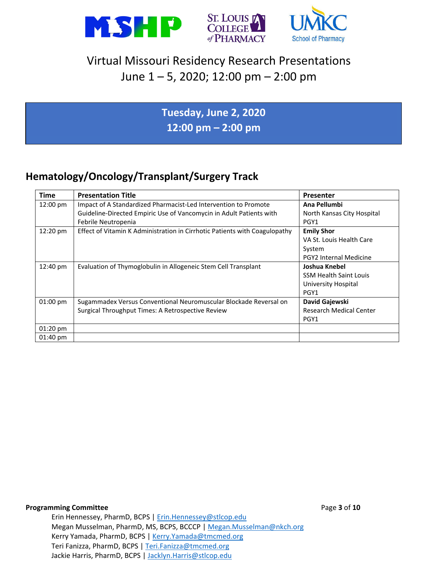





**Tuesday, June 2, 2020 12:00 pm – 2:00 pm**

### **Hematology/Oncology/Transplant/Surgery Track**

| <b>Time</b>        | <b>Presentation Title</b>                                                  | Presenter                      |
|--------------------|----------------------------------------------------------------------------|--------------------------------|
| 12:00 pm           | Impact of A Standardized Pharmacist-Led Intervention to Promote            | Ana Pellumbi                   |
|                    | Guideline-Directed Empiric Use of Vancomycin in Adult Patients with        | North Kansas City Hospital     |
|                    | Febrile Neutropenia                                                        | PGY1                           |
| $12:20 \text{ pm}$ | Effect of Vitamin K Administration in Cirrhotic Patients with Coagulopathy | <b>Emily Shor</b>              |
|                    |                                                                            | VA St. Louis Health Care       |
|                    |                                                                            | System                         |
|                    |                                                                            | <b>PGY2 Internal Medicine</b>  |
| 12:40 pm           | Evaluation of Thymoglobulin in Allogeneic Stem Cell Transplant             | Joshua Knebel                  |
|                    |                                                                            | <b>SSM Health Saint Louis</b>  |
|                    |                                                                            | University Hospital            |
|                    |                                                                            | PGY1                           |
| 01:00 pm           | Sugammadex Versus Conventional Neuromuscular Blockade Reversal on          | David Gajewski                 |
|                    | Surgical Throughput Times: A Retrospective Review                          | <b>Research Medical Center</b> |
|                    |                                                                            | PGY1                           |
| $01:20$ pm         |                                                                            |                                |
| $01:40 \text{ pm}$ |                                                                            |                                |

**Programming Committee** Page **3** of **10**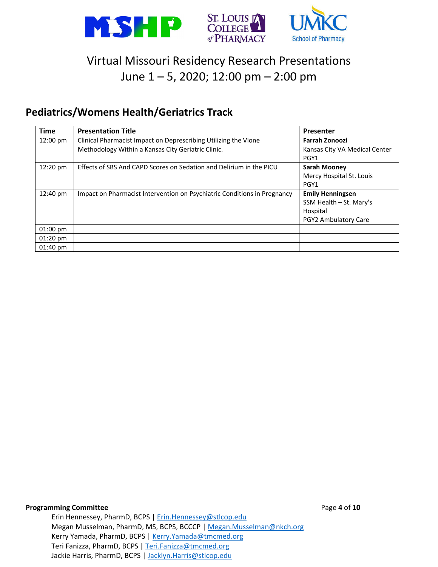

#### **Pediatrics/Womens Health/Geriatrics Track**

| <b>Time</b>        | <b>Presentation Title</b>                                                | <b>Presenter</b>              |
|--------------------|--------------------------------------------------------------------------|-------------------------------|
| 12:00 pm           | Clinical Pharmacist Impact on Deprescribing Utilizing the Vione          | <b>Farrah Zonoozi</b>         |
|                    | Methodology Within a Kansas City Geriatric Clinic.                       | Kansas City VA Medical Center |
|                    |                                                                          | PGY1                          |
| 12:20 pm           | Effects of SBS And CAPD Scores on Sedation and Delirium in the PICU      | <b>Sarah Mooney</b>           |
|                    |                                                                          | Mercy Hospital St. Louis      |
|                    |                                                                          | PGY1                          |
| 12:40 pm           | Impact on Pharmacist Intervention on Psychiatric Conditions in Pregnancy | <b>Emily Henningsen</b>       |
|                    |                                                                          | SSM Health – St. Mary's       |
|                    |                                                                          | Hospital                      |
|                    |                                                                          | <b>PGY2 Ambulatory Care</b>   |
| $01:00 \text{ pm}$ |                                                                          |                               |
| $01:20 \text{ pm}$ |                                                                          |                               |
| $01:40 \text{ pm}$ |                                                                          |                               |

**Programming Committee Programming Committee**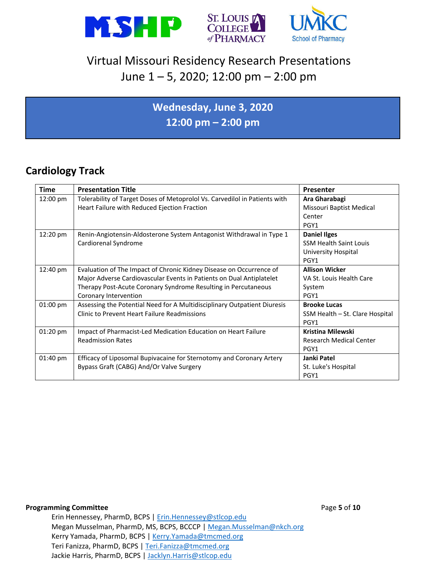





## **Wednesday, June 3, 2020 12:00 pm – 2:00 pm**

### **Cardiology Track**

| <b>Time</b>        | <b>Presentation Title</b>                                                  | Presenter                       |
|--------------------|----------------------------------------------------------------------------|---------------------------------|
| $12:00 \text{ pm}$ | Tolerability of Target Doses of Metoprolol Vs. Carvedilol in Patients with | Ara Gharabagi                   |
|                    | Heart Failure with Reduced Ejection Fraction                               | Missouri Baptist Medical        |
|                    |                                                                            | Center                          |
|                    |                                                                            | PGY1                            |
| 12:20 pm           | Renin-Angiotensin-Aldosterone System Antagonist Withdrawal in Type 1       | <b>Daniel Ilges</b>             |
|                    | Cardiorenal Syndrome                                                       | <b>SSM Health Saint Louis</b>   |
|                    |                                                                            | University Hospital             |
|                    |                                                                            | PGY1                            |
| 12:40 pm           | Evaluation of The Impact of Chronic Kidney Disease on Occurrence of        | <b>Allison Wicker</b>           |
|                    | Major Adverse Cardiovascular Events in Patients on Dual Antiplatelet       | VA St. Louis Health Care        |
|                    | Therapy Post-Acute Coronary Syndrome Resulting in Percutaneous             | System                          |
|                    | Coronary Intervention                                                      | PGY1                            |
| 01:00 pm           | Assessing the Potential Need for A Multidisciplinary Outpatient Diuresis   | <b>Brooke Lucas</b>             |
|                    | Clinic to Prevent Heart Failure Readmissions                               | SSM Health - St. Clare Hospital |
|                    |                                                                            | PGY1                            |
| 01:20 pm           | Impact of Pharmacist-Led Medication Education on Heart Failure             | <b>Kristina Milewski</b>        |
|                    | <b>Readmission Rates</b>                                                   | <b>Research Medical Center</b>  |
|                    |                                                                            | PGY1                            |
| $01:40 \text{ pm}$ | Efficacy of Liposomal Bupivacaine for Sternotomy and Coronary Artery       | Janki Patel                     |
|                    | Bypass Graft (CABG) And/Or Valve Surgery                                   | St. Luke's Hospital             |
|                    |                                                                            | PGY1                            |

#### **Programming Committee Programming Committee**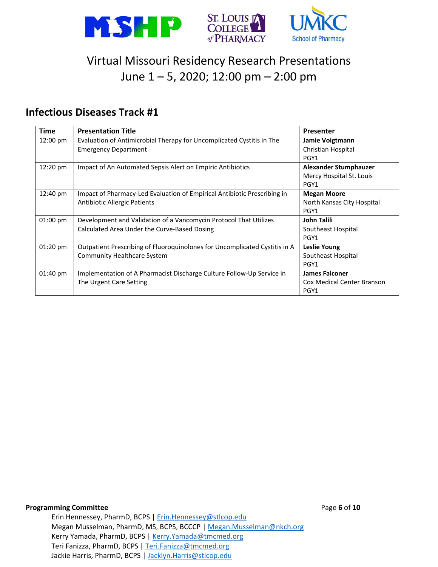

#### **Infectious Diseases Track #1**

| <b>Time</b>        | <b>Presentation Title</b>                                                  | <b>Presenter</b>             |
|--------------------|----------------------------------------------------------------------------|------------------------------|
| 12:00 pm           | Evaluation of Antimicrobial Therapy for Uncomplicated Cystitis in The      | Jamie Voigtmann              |
|                    | <b>Emergency Department</b>                                                | Christian Hospital           |
|                    |                                                                            | PGY1                         |
| 12:20 pm           | Impact of An Automated Sepsis Alert on Empiric Antibiotics                 | <b>Alexander Stumphauzer</b> |
|                    |                                                                            | Mercy Hospital St. Louis     |
|                    |                                                                            | PGY1                         |
| 12:40 pm           | Impact of Pharmacy-Led Evaluation of Empirical Antibiotic Prescribing in   | <b>Megan Moore</b>           |
|                    | <b>Antibiotic Allergic Patients</b>                                        | North Kansas City Hospital   |
|                    |                                                                            | PGY1                         |
| $01:00 \text{ pm}$ | Development and Validation of a Vancomycin Protocol That Utilizes          | John Talili                  |
|                    | Calculated Area Under the Curve-Based Dosing                               | Southeast Hospital           |
|                    |                                                                            | PGY1                         |
| $01:20$ pm         | Outpatient Prescribing of Fluoroquinolones for Uncomplicated Cystitis in A | Leslie Young                 |
|                    | <b>Community Healthcare System</b>                                         | Southeast Hospital           |
|                    |                                                                            | PGY1                         |
| $01:40 \text{ pm}$ | Implementation of A Pharmacist Discharge Culture Follow-Up Service in      | <b>James Falconer</b>        |
|                    | The Urgent Care Setting                                                    | Cox Medical Center Branson   |
|                    |                                                                            | PGY1                         |

**Programming Committee Page 6** of **10**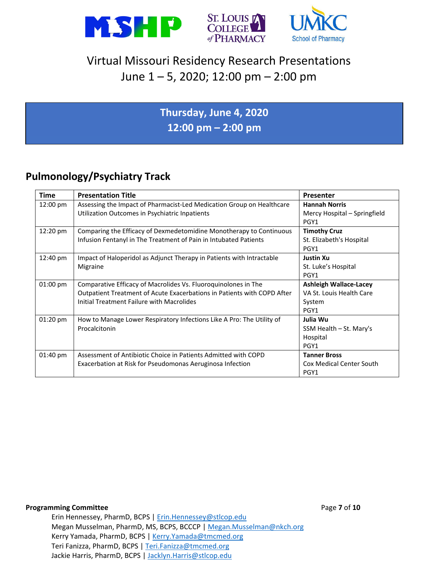





### **Thursday, June 4, 2020 12:00 pm – 2:00 pm**

### **Pulmonology/Psychiatry Track**

| <b>Time</b> | <b>Presentation Title</b>                                                                                                                                                              | Presenter                                                                   |
|-------------|----------------------------------------------------------------------------------------------------------------------------------------------------------------------------------------|-----------------------------------------------------------------------------|
| 12:00 pm    | Assessing the Impact of Pharmacist-Led Medication Group on Healthcare<br>Utilization Outcomes in Psychiatric Inpatients                                                                | <b>Hannah Norris</b><br>Mercy Hospital - Springfield<br>PGY1                |
| 12:20 pm    | Comparing the Efficacy of Dexmedetomidine Monotherapy to Continuous<br>Infusion Fentanyl in The Treatment of Pain in Intubated Patients                                                | <b>Timothy Cruz</b><br>St. Elizabeth's Hospital<br>PGY1                     |
| 12:40 pm    | Impact of Haloperidol as Adjunct Therapy in Patients with Intractable<br>Migraine                                                                                                      | <b>Justin Xu</b><br>St. Luke's Hospital<br>PGY1                             |
| $01:00$ pm  | Comparative Efficacy of Macrolides Vs. Fluoroquinolones in The<br>Outpatient Treatment of Acute Exacerbations in Patients with COPD After<br>Initial Treatment Failure with Macrolides | <b>Ashleigh Wallace-Lacey</b><br>VA St. Louis Health Care<br>System<br>PGY1 |
| $01:20$ pm  | How to Manage Lower Respiratory Infections Like A Pro: The Utility of<br>Procalcitonin                                                                                                 | Julia Wu<br>SSM Health – St. Mary's<br>Hospital<br>PGY1                     |
| 01:40 pm    | Assessment of Antibiotic Choice in Patients Admitted with COPD<br>Exacerbation at Risk for Pseudomonas Aeruginosa Infection                                                            | <b>Tanner Bross</b><br><b>Cox Medical Center South</b><br>PGY1              |

#### **Programming Committee** *Programming Committee*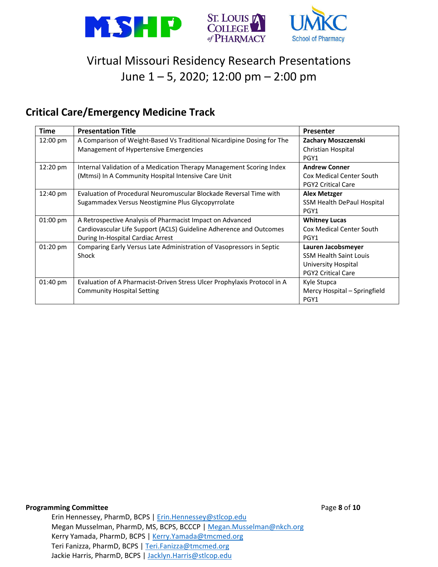

### **Critical Care/Emergency Medicine Track**

| <b>Time</b>        | <b>Presentation Title</b>                                                | Presenter                       |
|--------------------|--------------------------------------------------------------------------|---------------------------------|
| 12:00 pm           | A Comparison of Weight-Based Vs Traditional Nicardipine Dosing for The   | Zachary Moszczenski             |
|                    | Management of Hypertensive Emergencies                                   | Christian Hospital              |
|                    |                                                                          | PGY1                            |
| 12:20 pm           | Internal Validation of a Medication Therapy Management Scoring Index     | <b>Andrew Conner</b>            |
|                    | (Mtmsi) In A Community Hospital Intensive Care Unit                      | <b>Cox Medical Center South</b> |
|                    |                                                                          | <b>PGY2 Critical Care</b>       |
| 12:40 pm           | Evaluation of Procedural Neuromuscular Blockade Reversal Time with       | <b>Alex Metzger</b>             |
|                    | Sugammadex Versus Neostigmine Plus Glycopyrrolate                        | SSM Health DePaul Hospital      |
|                    |                                                                          | PGY1                            |
| $01:00 \text{ pm}$ | A Retrospective Analysis of Pharmacist Impact on Advanced                | <b>Whitney Lucas</b>            |
|                    | Cardiovascular Life Support (ACLS) Guideline Adherence and Outcomes      | Cox Medical Center South        |
|                    | During In-Hospital Cardiac Arrest                                        | PGY1                            |
| $01:20$ pm         | Comparing Early Versus Late Administration of Vasopressors in Septic     | Lauren Jacobsmeyer              |
|                    | Shock                                                                    | <b>SSM Health Saint Louis</b>   |
|                    |                                                                          | University Hospital             |
|                    |                                                                          | <b>PGY2 Critical Care</b>       |
| $01:40 \text{ pm}$ | Evaluation of A Pharmacist-Driven Stress Ulcer Prophylaxis Protocol in A | Kyle Stupca                     |
|                    | <b>Community Hospital Setting</b>                                        | Mercy Hospital - Springfield    |
|                    |                                                                          | PGY1                            |

**Programming Committee Programming Committee**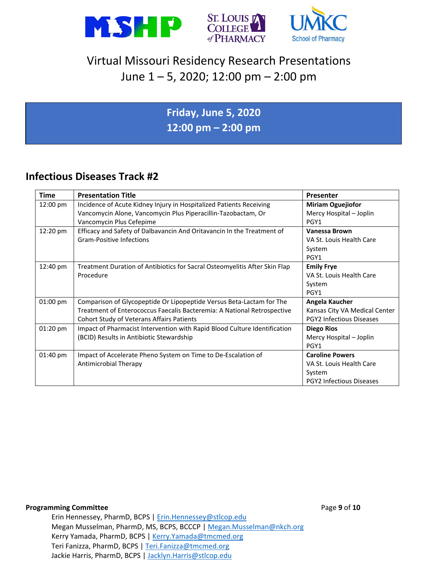





### **Friday, June 5, 2020 12:00 pm – 2:00 pm**

### **Infectious Diseases Track #2**

| <b>Time</b>        | <b>Presentation Title</b>                                                  | <b>Presenter</b>                |
|--------------------|----------------------------------------------------------------------------|---------------------------------|
| 12:00 pm           | Incidence of Acute Kidney Injury in Hospitalized Patients Receiving        | <b>Miriam Oguejiofor</b>        |
|                    | Vancomycin Alone, Vancomycin Plus Piperacillin-Tazobactam, Or              | Mercy Hospital - Joplin         |
|                    | Vancomycin Plus Cefepime                                                   | PGY1                            |
| 12:20 pm           | Efficacy and Safety of Dalbavancin And Oritavancin In the Treatment of     | Vanessa Brown                   |
|                    | <b>Gram-Positive Infections</b>                                            | VA St. Louis Health Care        |
|                    |                                                                            | System                          |
|                    |                                                                            | PGY1                            |
| 12:40 pm           | Treatment Duration of Antibiotics for Sacral Osteomyelitis After Skin Flap | <b>Emily Frye</b>               |
|                    | Procedure                                                                  | VA St. Louis Health Care        |
|                    |                                                                            | System                          |
|                    |                                                                            | PGY1                            |
| $01:00$ pm         | Comparison of Glycopeptide Or Lipopeptide Versus Beta-Lactam for The       | Angela Kaucher                  |
|                    | Treatment of Enterococcus Faecalis Bacteremia: A National Retrospective    | Kansas City VA Medical Center   |
|                    | <b>Cohort Study of Veterans Affairs Patients</b>                           | PGY2 Infectious Diseases        |
| 01:20 pm           | Impact of Pharmacist Intervention with Rapid Blood Culture Identification  | <b>Diego Rios</b>               |
|                    | (BCID) Results in Antibiotic Stewardship                                   | Mercy Hospital - Joplin         |
|                    |                                                                            | PGY1                            |
| $01:40 \text{ pm}$ | Impact of Accelerate Pheno System on Time to De-Escalation of              | <b>Caroline Powers</b>          |
|                    | <b>Antimicrobial Therapy</b>                                               | VA St. Louis Health Care        |
|                    |                                                                            | System                          |
|                    |                                                                            | <b>PGY2 Infectious Diseases</b> |

#### **Programming Committee Programming Committee**